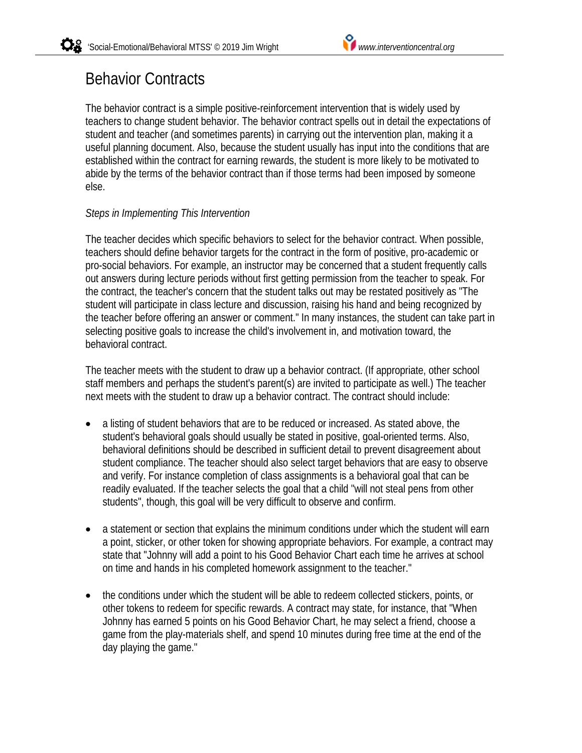# Behavior Contracts

The behavior contract is a simple positive-reinforcement intervention that is widely used by teachers to change student behavior. The behavior contract spells out in detail the expectations of student and teacher (and sometimes parents) in carrying out the intervention plan, making it a useful planning document. Also, because the student usually has input into the conditions that are established within the contract for earning rewards, the student is more likely to be motivated to abide by the terms of the behavior contract than if those terms had been imposed by someone else.

# *Steps in Implementing This Intervention*

The teacher decides which specific behaviors to select for the behavior contract. When possible, teachers should define behavior targets for the contract in the form of positive, pro-academic or pro-social behaviors. For example, an instructor may be concerned that a student frequently calls out answers during lecture periods without first getting permission from the teacher to speak. For the contract, the teacher's concern that the student talks out may be restated positively as "The student will participate in class lecture and discussion, raising his hand and being recognized by the teacher before offering an answer or comment." In many instances, the student can take part in selecting positive goals to increase the child's involvement in, and motivation toward, the behavioral contract.

The teacher meets with the student to draw up a behavior contract. (If appropriate, other school staff members and perhaps the student's parent(s) are invited to participate as well.) The teacher next meets with the student to draw up a behavior contract. The contract should include:

- a listing of student behaviors that are to be reduced or increased. As stated above, the student's behavioral goals should usually be stated in positive, goal-oriented terms. Also, behavioral definitions should be described in sufficient detail to prevent disagreement about student compliance. The teacher should also select target behaviors that are easy to observe and verify. For instance completion of class assignments is a behavioral goal that can be readily evaluated. If the teacher selects the goal that a child "will not steal pens from other students", though, this goal will be very difficult to observe and confirm.
- a statement or section that explains the minimum conditions under which the student will earn a point, sticker, or other token for showing appropriate behaviors. For example, a contract may state that "Johnny will add a point to his Good Behavior Chart each time he arrives at school on time and hands in his completed homework assignment to the teacher."
- the conditions under which the student will be able to redeem collected stickers, points, or other tokens to redeem for specific rewards. A contract may state, for instance, that "When Johnny has earned 5 points on his Good Behavior Chart, he may select a friend, choose a game from the play-materials shelf, and spend 10 minutes during free time at the end of the day playing the game."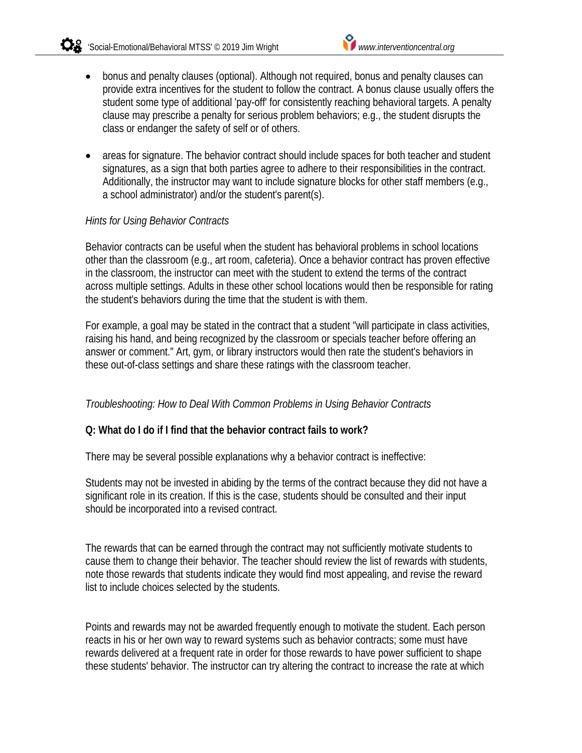- bonus and penalty clauses (optional). Although not required, bonus and penalty clauses can provide extra incentives for the student to follow the contract. A bonus clause usually offers the student some type of additional 'pay-off' for consistently reaching behavioral targets. A penalty clause may prescribe a penalty for serious problem behaviors; e.g., the student disrupts the class or endanger the safety of self or of others.
- areas for signature. The behavior contract should include spaces for both teacher and student signatures, as a sign that both parties agree to adhere to their responsibilities in the contract. Additionally, the instructor may want to include signature blocks for other staff members (e.g., a school administrator) and/or the student's parent(s).

# *Hints for Using Behavior Contracts*

Behavior contracts can be useful when the student has behavioral problems in school locations other than the classroom (e.g., art room, cafeteria). Once a behavior contract has proven effective in the classroom, the instructor can meet with the student to extend the terms of the contract across multiple settings. Adults in these other school locations would then be responsible for rating the student's behaviors during the time that the student is with them.

For example, a goal may be stated in the contract that a student "will participate in class activities, raising his hand, and being recognized by the classroom or specials teacher before offering an answer or comment." Art, gym, or library instructors would then rate the student's behaviors in these out-of-class settings and share these ratings with the classroom teacher.

# *Troubleshooting: How to Deal With Common Problems in Using Behavior Contracts*

# **Q: What do I do if I find that the behavior contract fails to work?**

There may be several possible explanations why a behavior contract is ineffective:

Students may not be invested in abiding by the terms of the contract because they did not have a significant role in its creation. If this is the case, students should be consulted and their input should be incorporated into a revised contract.

The rewards that can be earned through the contract may not sufficiently motivate students to cause them to change their behavior. The teacher should review the list of rewards with students, note those rewards that students indicate they would find most appealing, and revise the reward list to include choices selected by the students.

Points and rewards may not be awarded frequently enough to motivate the student. Each person reacts in his or her own way to reward systems such as behavior contracts; some must have rewards delivered at a frequent rate in order for those rewards to have power sufficient to shape these students' behavior. The instructor can try altering the contract to increase the rate at which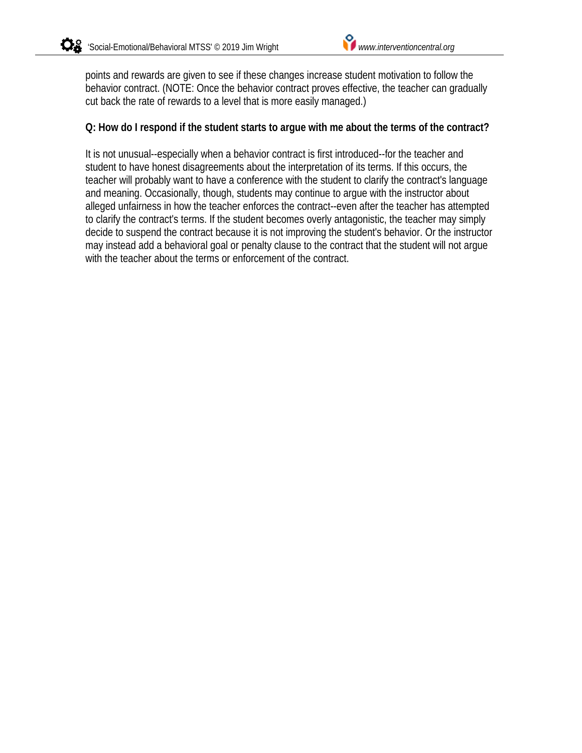points and rewards are given to see if these changes increase student motivation to follow the behavior contract. (NOTE: Once the behavior contract proves effective, the teacher can gradually cut back the rate of rewards to a level that is more easily managed.)

# **Q: How do I respond if the student starts to argue with me about the terms of the contract?**

It is not unusual--especially when a behavior contract is first introduced--for the teacher and student to have honest disagreements about the interpretation of its terms. If this occurs, the teacher will probably want to have a conference with the student to clarify the contract's language and meaning. Occasionally, though, students may continue to argue with the instructor about alleged unfairness in how the teacher enforces the contract--even after the teacher has attempted to clarify the contract's terms. If the student becomes overly antagonistic, the teacher may simply decide to suspend the contract because it is not improving the student's behavior. Or the instructor may instead add a behavioral goal or penalty clause to the contract that the student will not argue with the teacher about the terms or enforcement of the contract.